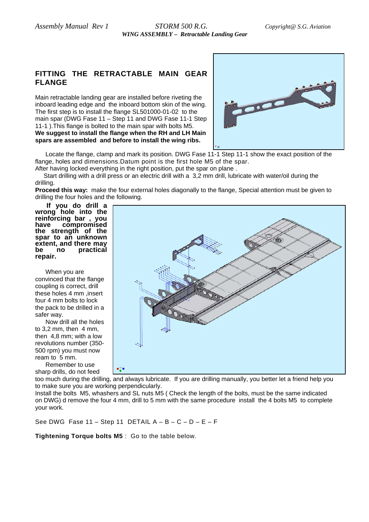## **FITTING THE RETRACTABLE MAIN GEAR FLANGE**

Main retractable landing gear are installed before riveting the inboard leading edge and the inboard bottom skin of the wing. The first step is to install the flange SL501000-01-02 to the main spar (DWG Fase 11 – Step 11 and DWG Fase 11-1 Step 11-1 ).This flange is bolted to the main spar with bolts M5. **We suggest to install the flange when the RH and LH Main spars are assembled and before to install the wing ribs.** 



 Locate the flange, clamp and mark its position. DWG Fase 11-1 Step 11-1 show the exact position of the flange, holes and dimensions.Datum point is the first hole M5 of the spar.

After having locked everything in the right position, put the spar on plane .

 Start drilling with a drill press or an electric drill with a 3,2 mm drill, lubricate with water/oil during the drilling.

**Proceed this way:** make the four external holes diagonally to the flange, Special attention must be given to drilling the four holes and the following.

 **If you do drill a wrong hole into the reinforcing bar , you have compromised the strength of the spar to an unknown extent, and there may be no practical repair.** 

 When you are convinced that the flange coupling is correct, drill these holes 4 mm ,insert four 4 mm bolts to lock the pack to be drilled in a safer way.

 Now drill all the holes to  $3,2$  mm, then  $4$  mm, then 4,8 mm; with a low revolutions number (350- 500 rpm) you must now ream to 5 mm.

 Remember to use sharp drills, do not feed



too much during the drilling, and always lubricate. If you are drilling manually, you better let a friend help you to make sure you are working perpendicularly.

Install the bolts M5, whashers and SL nuts M5 ( Check the length of the bolts, must be the same indicated on DWG) d remove the four 4 mm, drill to 5 mm with the same procedure install the 4 bolts M5 to complete your work.

See DWG Fase  $11 -$  Step 11 DETAIL  $A - B - C - D - E - F$ 

**Tightening Torque bolts M5** : Go to the table below.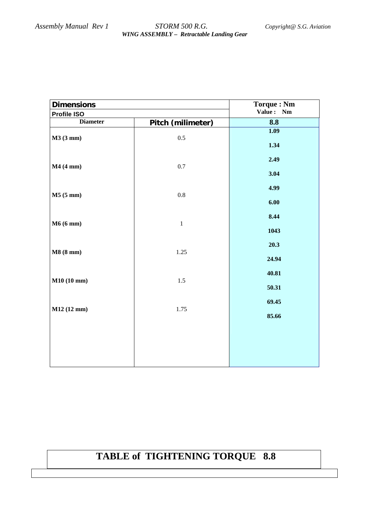| <b>Dimensions</b>   |                   | <b>Torque: Nm</b> |
|---------------------|-------------------|-------------------|
| Profile ISO         |                   | Value: Nm         |
| <b>Diameter</b>     | Pitch (milimeter) | 8.8               |
| M3 (3 mm)           | 0.5               | $\overline{1.09}$ |
|                     |                   | 1.34              |
| M4 (4 mm)           | $0.7\,$           | 2.49              |
|                     |                   | 3.04              |
| M5(5 mm)            | 0.8               | 4.99              |
| $M6(6 \text{ mm})$  | $\mathbf{1}$      | 6.00<br>8.44      |
|                     |                   | 1043              |
|                     | 1.25              | 20.3              |
| M8 (8 mm)           |                   | 24.94             |
| M10(10 mm)          | 1.5               | 40.81             |
|                     |                   | 50.31             |
| M12 (12 mm)<br>1.75 |                   | 69.45             |
|                     |                   | 85.66             |
|                     |                   |                   |
|                     |                   |                   |
|                     |                   |                   |

## **TABLE of TIGHTENING TORQUE 8.8**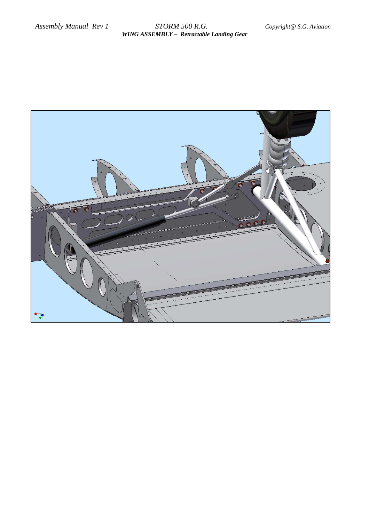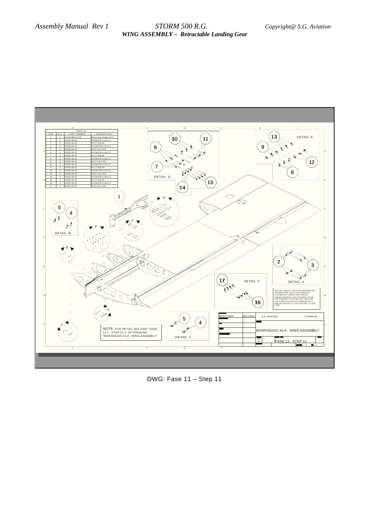

DWG: Fase 11 – Step 11